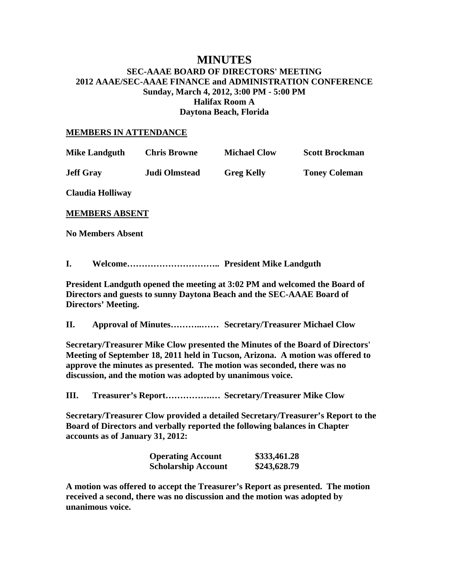# **MINUTES SEC-AAAE BOARD OF DIRECTORS' MEETING 2012 AAAE/SEC-AAAE FINANCE and ADMINISTRATION CONFERENCE Sunday, March 4, 2012, 3:00 PM - 5:00 PM Halifax Room A Daytona Beach, Florida**

#### **MEMBERS IN ATTENDANCE**

| <b>Mike Landguth</b>     | <b>Chris Browne</b>  | <b>Michael Clow</b> | <b>Scott Brockman</b> |
|--------------------------|----------------------|---------------------|-----------------------|
| <b>Jeff Gray</b>         | <b>Judi Olmstead</b> | <b>Greg Kelly</b>   | <b>Toney Coleman</b>  |
| Claudia Holliway         |                      |                     |                       |
| <b>MEMBERS ABSENT</b>    |                      |                     |                       |
| <b>No Members Absent</b> |                      |                     |                       |
|                          |                      |                     |                       |

**I. Welcome………………………….. President Mike Landguth** 

**President Landguth opened the meeting at 3:02 PM and welcomed the Board of Directors and guests to sunny Daytona Beach and the SEC-AAAE Board of Directors' Meeting.** 

**II. Approval of Minutes………..…… Secretary/Treasurer Michael Clow** 

**Secretary/Treasurer Mike Clow presented the Minutes of the Board of Directors' Meeting of September 18, 2011 held in Tucson, Arizona. A motion was offered to approve the minutes as presented. The motion was seconded, there was no discussion, and the motion was adopted by unanimous voice.** 

**III. Treasurer's Report…………….… Secretary/Treasurer Mike Clow** 

**Secretary/Treasurer Clow provided a detailed Secretary/Treasurer's Report to the Board of Directors and verbally reported the following balances in Chapter accounts as of January 31, 2012:** 

| <b>Operating Account</b>   | \$333,461.28 |
|----------------------------|--------------|
| <b>Scholarship Account</b> | \$243,628.79 |

**A motion was offered to accept the Treasurer's Report as presented. The motion received a second, there was no discussion and the motion was adopted by unanimous voice.**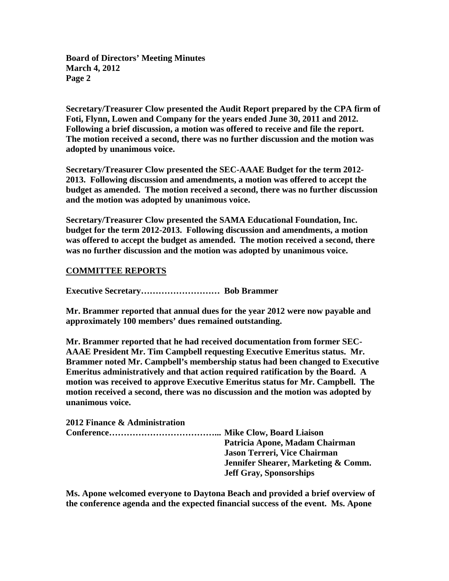**Secretary/Treasurer Clow presented the Audit Report prepared by the CPA firm of Foti, Flynn, Lowen and Company for the years ended June 30, 2011 and 2012. Following a brief discussion, a motion was offered to receive and file the report. The motion received a second, there was no further discussion and the motion was adopted by unanimous voice.** 

**Secretary/Treasurer Clow presented the SEC-AAAE Budget for the term 2012- 2013. Following discussion and amendments, a motion was offered to accept the budget as amended. The motion received a second, there was no further discussion and the motion was adopted by unanimous voice.** 

**Secretary/Treasurer Clow presented the SAMA Educational Foundation, Inc. budget for the term 2012-2013. Following discussion and amendments, a motion was offered to accept the budget as amended. The motion received a second, there was no further discussion and the motion was adopted by unanimous voice.** 

## **COMMITTEE REPORTS**

**Executive Secretary……………………… Bob Brammer** 

**Mr. Brammer reported that annual dues for the year 2012 were now payable and approximately 100 members' dues remained outstanding.** 

**Mr. Brammer reported that he had received documentation from former SEC-AAAE President Mr. Tim Campbell requesting Executive Emeritus status. Mr. Brammer noted Mr. Campbell's membership status had been changed to Executive Emeritus administratively and that action required ratification by the Board. A motion was received to approve Executive Emeritus status for Mr. Campbell. The motion received a second, there was no discussion and the motion was adopted by unanimous voice.** 

| 2012 Finance & Administration |                                     |
|-------------------------------|-------------------------------------|
|                               |                                     |
|                               | Patricia Apone, Madam Chairman      |
|                               | Jason Terreri, Vice Chairman        |
|                               | Jennifer Shearer, Marketing & Comm. |
|                               | <b>Jeff Gray, Sponsorships</b>      |

**Ms. Apone welcomed everyone to Daytona Beach and provided a brief overview of the conference agenda and the expected financial success of the event. Ms. Apone**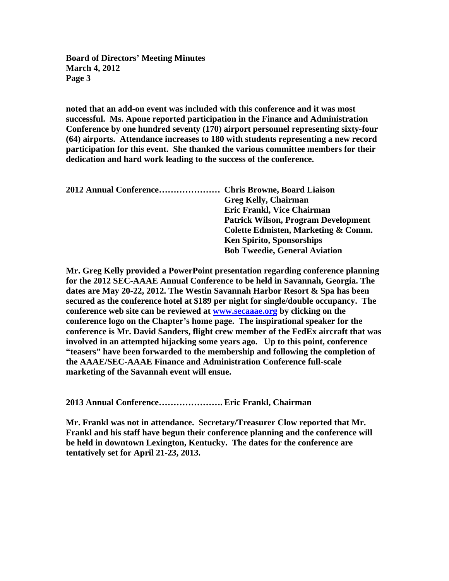**noted that an add-on event was included with this conference and it was most successful. Ms. Apone reported participation in the Finance and Administration Conference by one hundred seventy (170) airport personnel representing sixty-four (64) airports. Attendance increases to 180 with students representing a new record participation for this event. She thanked the various committee members for their dedication and hard work leading to the success of the conference.** 

| 2012 Annual Conference Chris Browne, Board Liaison |                                            |
|----------------------------------------------------|--------------------------------------------|
|                                                    | <b>Greg Kelly, Chairman</b>                |
|                                                    | Eric Frankl, Vice Chairman                 |
|                                                    | <b>Patrick Wilson, Program Development</b> |
|                                                    | Colette Edmisten, Marketing & Comm.        |
|                                                    | <b>Ken Spirito, Sponsorships</b>           |
|                                                    | <b>Bob Tweedie, General Aviation</b>       |

**Mr. Greg Kelly provided a PowerPoint presentation regarding conference planning for the 2012 SEC-AAAE Annual Conference to be held in Savannah, Georgia. The dates are May 20-22, 2012. The Westin Savannah Harbor Resort & Spa has been secured as the conference hotel at \$189 per night for single/double occupancy. The conference web site can be reviewed at www.secaaae.org by clicking on the conference logo on the Chapter's home page. The inspirational speaker for the conference is Mr. David Sanders, flight crew member of the FedEx aircraft that was involved in an attempted hijacking some years ago. Up to this point, conference "teasers" have been forwarded to the membership and following the completion of the AAAE/SEC-AAAE Finance and Administration Conference full-scale marketing of the Savannah event will ensue.**

**2013 Annual Conference…………………. Eric Frankl, Chairman** 

**Mr. Frankl was not in attendance. Secretary/Treasurer Clow reported that Mr. Frankl and his staff have begun their conference planning and the conference will be held in downtown Lexington, Kentucky. The dates for the conference are tentatively set for April 21-23, 2013.**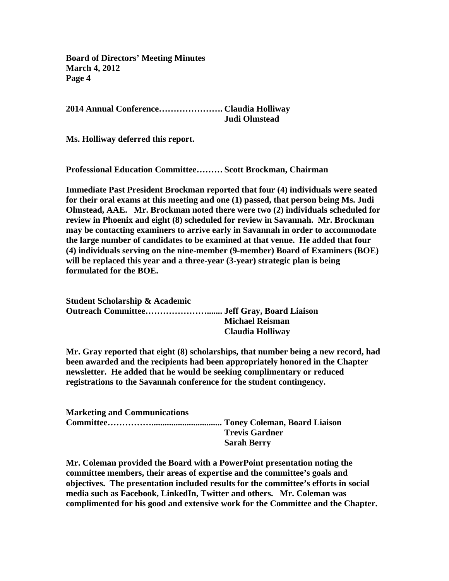**2014 Annual Conference…………………. Claudia Holliway Judi Olmstead** 

**Ms. Holliway deferred this report.** 

**Professional Education Committee……… Scott Brockman, Chairman** 

**Immediate Past President Brockman reported that four (4) individuals were seated for their oral exams at this meeting and one (1) passed, that person being Ms. Judi Olmstead, AAE. Mr. Brockman noted there were two (2) individuals scheduled for review in Phoenix and eight (8) scheduled for review in Savannah. Mr. Brockman may be contacting examiners to arrive early in Savannah in order to accommodate the large number of candidates to be examined at that venue. He added that four (4) individuals serving on the nine-member (9-member) Board of Examiners (BOE) will be replaced this year and a three-year (3-year) strategic plan is being formulated for the BOE.** 

**Student Scholarship & Academic Outreach Committee…………………....... Jeff Gray, Board Liaison Michael Reisman Claudia Holliway** 

**Mr. Gray reported that eight (8) scholarships, that number being a new record, had been awarded and the recipients had been appropriately honored in the Chapter newsletter. He added that he would be seeking complimentary or reduced registrations to the Savannah conference for the student contingency.** 

| <b>Marketing and Communications</b> |                       |  |
|-------------------------------------|-----------------------|--|
|                                     |                       |  |
|                                     | <b>Trevis Gardner</b> |  |
|                                     | <b>Sarah Berry</b>    |  |

**Mr. Coleman provided the Board with a PowerPoint presentation noting the committee members, their areas of expertise and the committee's goals and objectives. The presentation included results for the committee's efforts in social media such as Facebook, LinkedIn, Twitter and others. Mr. Coleman was complimented for his good and extensive work for the Committee and the Chapter.**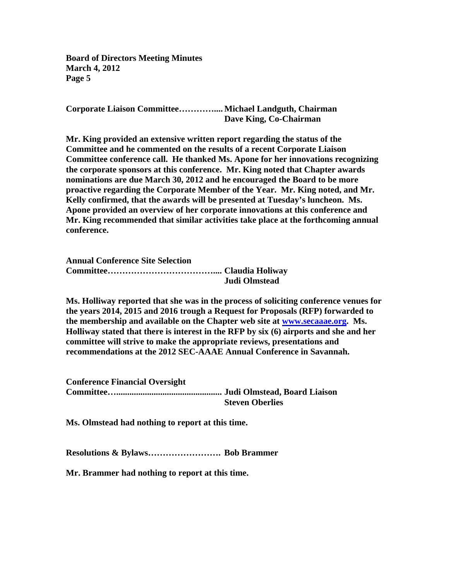**Corporate Liaison Committee………….... Michael Landguth, Chairman Dave King, Co-Chairman** 

**Mr. King provided an extensive written report regarding the status of the Committee and he commented on the results of a recent Corporate Liaison Committee conference call. He thanked Ms. Apone for her innovations recognizing the corporate sponsors at this conference. Mr. King noted that Chapter awards nominations are due March 30, 2012 and he encouraged the Board to be more proactive regarding the Corporate Member of the Year. Mr. King noted, and Mr. Kelly confirmed, that the awards will be presented at Tuesday's luncheon. Ms. Apone provided an overview of her corporate innovations at this conference and Mr. King recommended that similar activities take place at the forthcoming annual conference.** 

| <b>Annual Conference Site Selection</b> |               |
|-----------------------------------------|---------------|
|                                         |               |
|                                         | Judi Olmstead |

**Ms. Holliway reported that she was in the process of soliciting conference venues for the years 2014, 2015 and 2016 trough a Request for Proposals (RFP) forwarded to the membership and available on the Chapter web site at www.secaaae.org. Ms. Holliway stated that there is interest in the RFP by six (6) airports and she and her committee will strive to make the appropriate reviews, presentations and recommendations at the 2012 SEC-AAAE Annual Conference in Savannah.** 

| <b>Conference Financial Oversight</b> |                        |
|---------------------------------------|------------------------|
|                                       |                        |
|                                       | <b>Steven Oberlies</b> |

**Ms. Olmstead had nothing to report at this time.** 

**Resolutions & Bylaws……………………. Bob Brammer** 

**Mr. Brammer had nothing to report at this time.**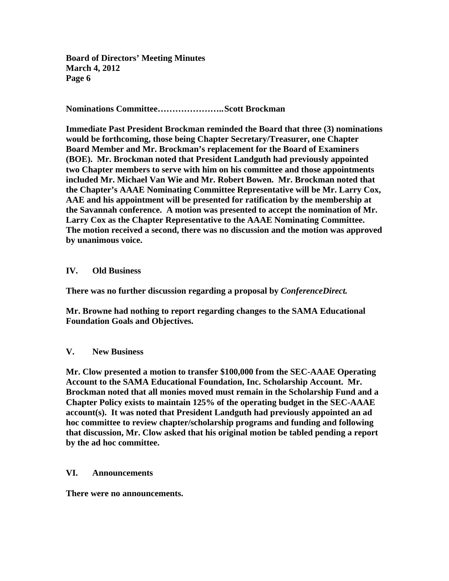**Nominations Committee………………….. Scott Brockman** 

**Immediate Past President Brockman reminded the Board that three (3) nominations would be forthcoming, those being Chapter Secretary/Treasurer, one Chapter Board Member and Mr. Brockman's replacement for the Board of Examiners (BOE). Mr. Brockman noted that President Landguth had previously appointed two Chapter members to serve with him on his committee and those appointments included Mr. Michael Van Wie and Mr. Robert Bowen. Mr. Brockman noted that the Chapter's AAAE Nominating Committee Representative will be Mr. Larry Cox, AAE and his appointment will be presented for ratification by the membership at the Savannah conference. A motion was presented to accept the nomination of Mr. Larry Cox as the Chapter Representative to the AAAE Nominating Committee. The motion received a second, there was no discussion and the motion was approved by unanimous voice.** 

## **IV. Old Business**

**There was no further discussion regarding a proposal by** *ConferenceDirect.*

**Mr. Browne had nothing to report regarding changes to the SAMA Educational Foundation Goals and Objectives.** 

## **V. New Business**

**Mr. Clow presented a motion to transfer \$100,000 from the SEC-AAAE Operating Account to the SAMA Educational Foundation, Inc. Scholarship Account. Mr. Brockman noted that all monies moved must remain in the Scholarship Fund and a Chapter Policy exists to maintain 125% of the operating budget in the SEC-AAAE account(s). It was noted that President Landguth had previously appointed an ad hoc committee to review chapter/scholarship programs and funding and following that discussion, Mr. Clow asked that his original motion be tabled pending a report by the ad hoc committee.** 

#### **VI. Announcements**

**There were no announcements.**